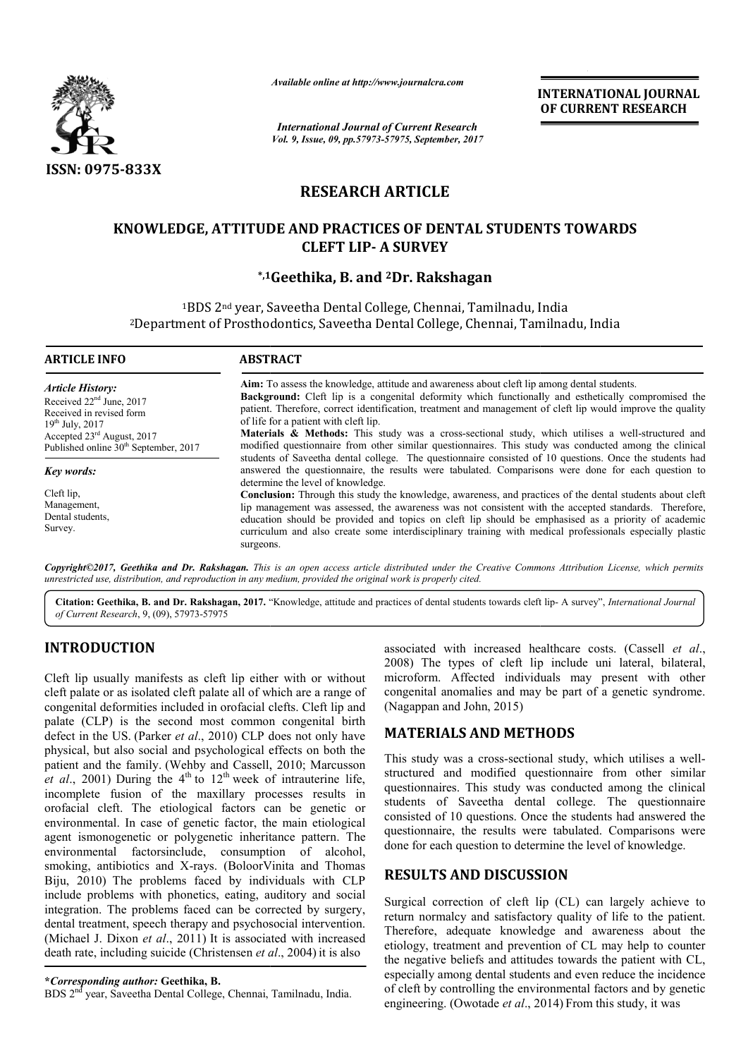

*Available online at http://www.journalcra.com*

*International Journal of Current Research Vol. 9, Issue, 09, pp.57973-57975, September, 2017* **INTERNATIONAL JOURNAL OF CURRENT RESEARCH** 

# **RESEARCH ARTICLE**

## **KNOWLEDGE, ATTITUDE AND PRACTICES OF DENTAL STUDENTS TOWARDS CLEFT LIP- A SURVEY**

#### **\*,1 1Geethika, B. and 2Dr. Rakshagan**

1BDS 2<sup>nd</sup> year, Saveetha Dental College, Chennai, Tamilnadu, India <sup>1</sup>BDS 2nd year, Saveetha Dental College, Chennai, Tamilnadu, India<br><sup>2</sup>Department of Prosthodontics, Saveetha Dental College, Chennai, Tamilnadu, India

| <b>ARTICLE INFO</b>                                                                                                                                                                                      | <b>ABSTRACT</b>                                                                                                                                                                                                                                                                                                                                                                                                                                                                                                                                                                     |
|----------------------------------------------------------------------------------------------------------------------------------------------------------------------------------------------------------|-------------------------------------------------------------------------------------------------------------------------------------------------------------------------------------------------------------------------------------------------------------------------------------------------------------------------------------------------------------------------------------------------------------------------------------------------------------------------------------------------------------------------------------------------------------------------------------|
| <b>Article History:</b><br>Received $22nd$ June, 2017<br>Received in revised form<br>$19^{th}$ July, 2017<br>Accepted 23 <sup>rd</sup> August, 2017<br>Published online 30 <sup>th</sup> September, 2017 | Aim: To assess the knowledge, attitude and awareness about cleft lip among dental students.<br>Background: Cleft lip is a congenital deformity which functionally and esthetically compromised the<br>patient. Therefore, correct identification, treatment and management of cleft lip would improve the quality<br>of life for a patient with cleft lip.<br><b>Materials &amp; Methods:</b> This study was a cross-sectional study, which utilises a well-structured and<br>modified questionnaire from other similar questionnaires. This study was conducted among the clinical |
| <b>Key words:</b>                                                                                                                                                                                        | students of Saveetha dental college. The questionnaire consisted of 10 questions. Once the students had<br>answered the questionnaire, the results were tabulated. Comparisons were done for each question to<br>determine the level of knowledge.                                                                                                                                                                                                                                                                                                                                  |
| Cleft lip,<br>Management.<br>Dental students.<br>Survey.                                                                                                                                                 | Conclusion: Through this study the knowledge, awareness, and practices of the dental students about cleft<br>lip management was assessed, the awareness was not consistent with the accepted standards. Therefore,<br>education should be provided and topics on cleft lip should be emphasised as a priority of academic<br>curriculum and also create some interdisciplinary training with medical professionals especially plastic<br>surgeons.                                                                                                                                  |

*Copyright©2017, Geethika and Dr. Rakshagan. This is an open access article distributed under the Creative Commons Att Attribution License, which permits unrestricted use, distribution, and reproduction in any medium, provided the original work is properly cited.*

Citation: Geethika, B. and Dr. Rakshagan, 2017. "Knowledge, attitude and practices of dental students towards cleft lip- A survey", *International Journal of Current Research*, 9, (09), 57973-57975

## **INTRODUCTION**

Cleft lip usually manifests as cleft lip either with or without cleft palate or as isolated cleft palate all of which are a range of congenital deformities included in orofacial clefts. Cleft lip and palate (CLP) is the second most common congenital birth defect in the US. (Parker *et al*., 2010) CLP does not only have physical, but also social and psychological effects on both the patient and the family. (Wehby and Cassell, 2010; Marcusson *et al.*, 2001) During the  $4<sup>th</sup>$  to  $12<sup>th</sup>$  week of intrauterine life, incomplete fusion of the maxillary processes results in orofacial cleft. The etiological factors can be genetic or environmental. In case of genetic factor, the main etiological agent ismonogenetic or polygenetic inheritance pattern. The environmental factorsinclude, consumption of smoking, antibiotics and X-rays. (BoloorVinita and Thomas Biju, 2010) The problems faced by individuals with CLP include problems with phonetics, eating, auditory and social integration. The problems faced can be corrected by surgery, dental treatment, speech therapy and psychosocial intervention. (Michael J. Dixon *et al*., 2011) It is associated with increased death rate, including suicide (Christensen *et al* ., 2004) it is also tiological factors can be genetic or<br>of genetic factor, the main etiological<br>r polygenetic inheritance pattern. The<br>include, consumption of alcohol,

BDS 2nd year, Saveetha Dental College, Chennai, Tamilnadu, India.

associated with increased healthcare costs. (Cassell *et al.*, 2008) The types of cleft lip include uni lateral, bilateral, microform. Affected individuals may present with other microform. Affected individuals may present with other congenital anomalies and may be part of a genetic syndrome. (Nagappan and John, 2015)

## **MATERIALS AND METHODS METHODS**

This study was a cross-sectional study, which utilises a wellstructured and modified questionnaire from other similar questionnaires. This study was conducted among the clinical structured and modified questionnaire from other similar questionnaires. This study was conducted among the clinical students of Saveetha dental college. The questionnaire consisted of 10 questions. Once the students had answered the questionnaire, the results were tabulated. Comparisons were done for each question to determine the level of knowledge.

### **RESULTS AND DISCUSSION**

done for each question to determine the level of knowledge.<br> **RESULTS AND DISCUSSION**<br>
Surgical correction of cleft lip (CL) can largely achieve to return normalcy and satisfactory quality of life to the patient. Therefore, adequate knowledge and awareness about the etiology, treatment and prevention of CL may help to counter Therefore, adequate knowledge and awareness about the etiology, treatment and prevention of CL may help to counter the negative beliefs and attitudes towards the patient with CL, especially among dental students and even reduce the incidence of cleft by controlling the environmental factors and by genetic engineering. (Owotade *et al*., 2014 2014) From this study, it was

**<sup>\*</sup>***Corresponding author:* **Geethika, B.**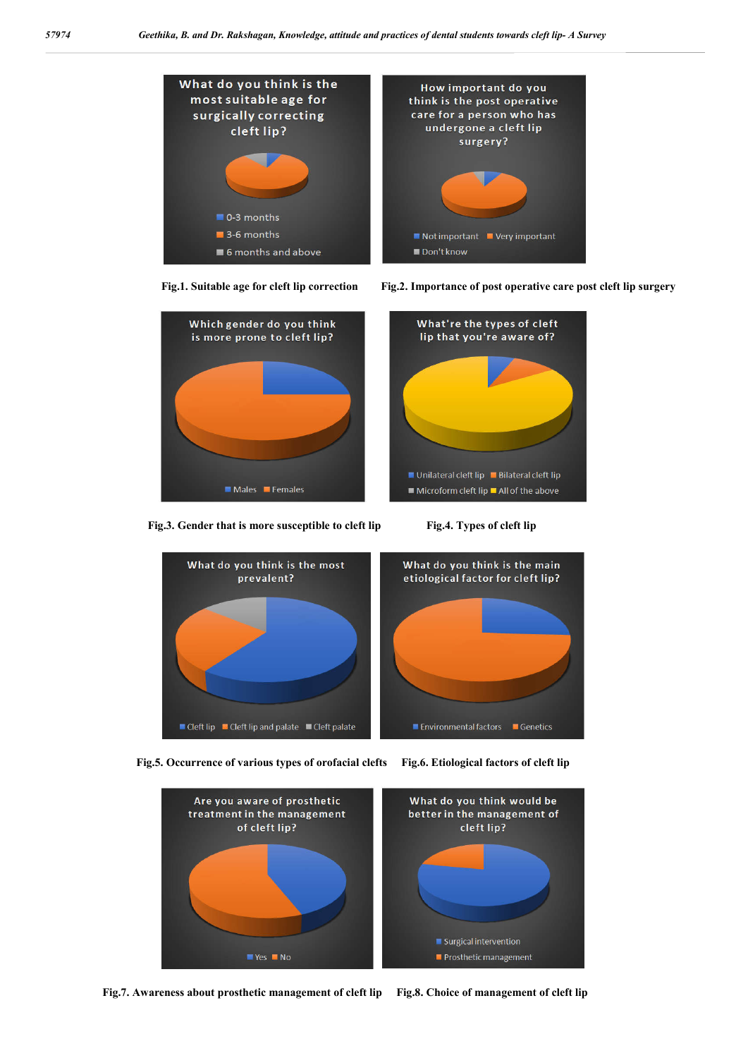





Fig.3. Gender that is more susceptible to cleft lip Fig.4. Types of cleft lip





 **Fig.5. Occurrence of various types of orofacial clefts Fig.6. Etiological factors of cleft lip**



 **Fig.7. Awareness about prosthetic management of cleft lip Fig.8. Choice of management of cleft lip**